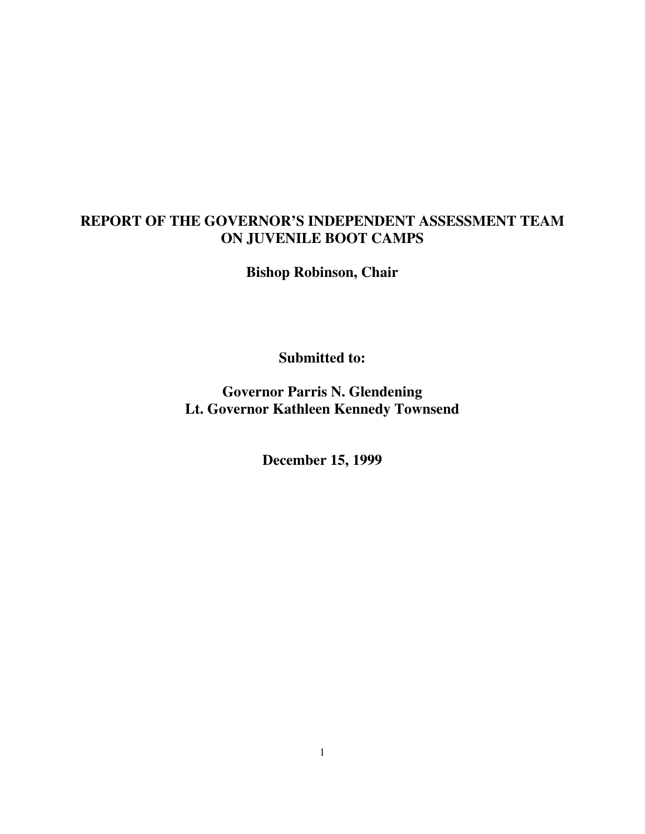## **REPORT OF THE GOVERNOR'S INDEPENDENT ASSESSMENT TEAM ON JUVENILE BOOT CAMPS**

**Bishop Robinson, Chair**

**Submitted to:**

**Governor Parris N. Glendening Lt. Governor Kathleen Kennedy Townsend**

**December 15, 1999**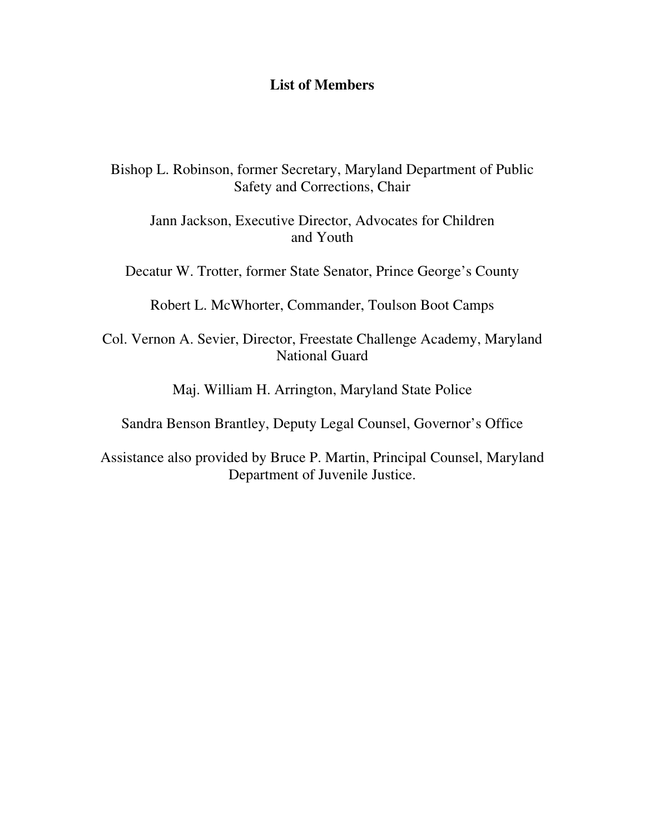### **List of Members**

Bishop L. Robinson, former Secretary, Maryland Department of Public Safety and Corrections, Chair

Jann Jackson, Executive Director, Advocates for Children and Youth

Decatur W. Trotter, former State Senator, Prince George's County

Robert L. McWhorter, Commander, Toulson Boot Camps

Col. Vernon A. Sevier, Director, Freestate Challenge Academy, Maryland National Guard

Maj. William H. Arrington, Maryland State Police

Sandra Benson Brantley, Deputy Legal Counsel, Governor's Office

Assistance also provided by Bruce P. Martin, Principal Counsel, Maryland Department of Juvenile Justice.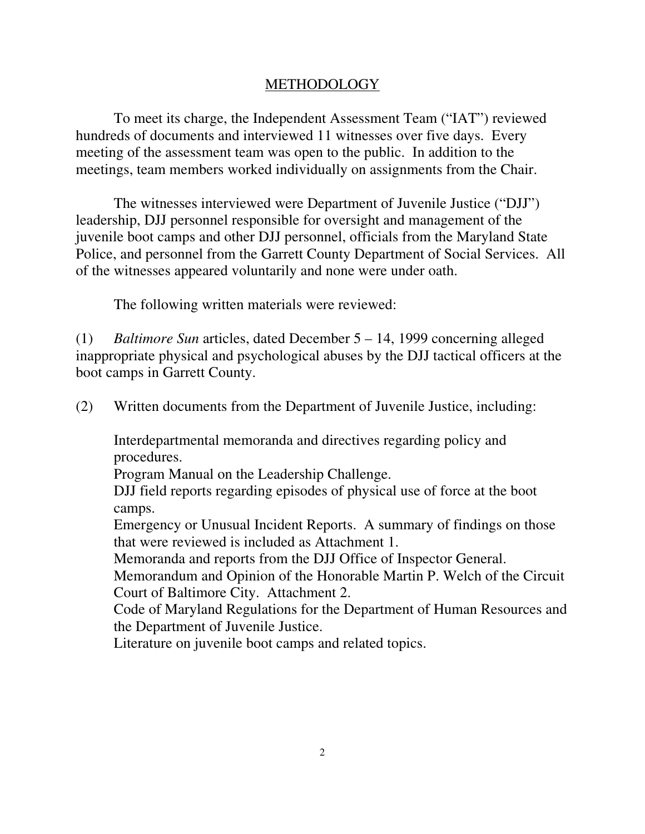## METHODOLOGY

To meet its charge, the Independent Assessment Team ("IAT") reviewed hundreds of documents and interviewed 11 witnesses over five days. Every meeting of the assessment team was open to the public. In addition to the meetings, team members worked individually on assignments from the Chair.

The witnesses interviewed were Department of Juvenile Justice ("DJJ") leadership, DJJ personnel responsible for oversight and management of the juvenile boot camps and other DJJ personnel, officials from the Maryland State Police, and personnel from the Garrett County Department of Social Services. All of the witnesses appeared voluntarily and none were under oath.

The following written materials were reviewed:

(1) *Baltimore Sun* articles, dated December 5 – 14, 1999 concerning alleged inappropriate physical and psychological abuses by the DJJ tactical officers at the boot camps in Garrett County.

(2) Written documents from the Department of Juvenile Justice, including:

Interdepartmental memoranda and directives regarding policy and procedures.

Program Manual on the Leadership Challenge.

DJJ field reports regarding episodes of physical use of force at the boot camps.

Emergency or Unusual Incident Reports. A summary of findings on those that were reviewed is included as Attachment 1.

Memoranda and reports from the DJJ Office of Inspector General.

Memorandum and Opinion of the Honorable Martin P. Welch of the Circuit Court of Baltimore City. Attachment 2.

Code of Maryland Regulations for the Department of Human Resources and the Department of Juvenile Justice.

Literature on juvenile boot camps and related topics.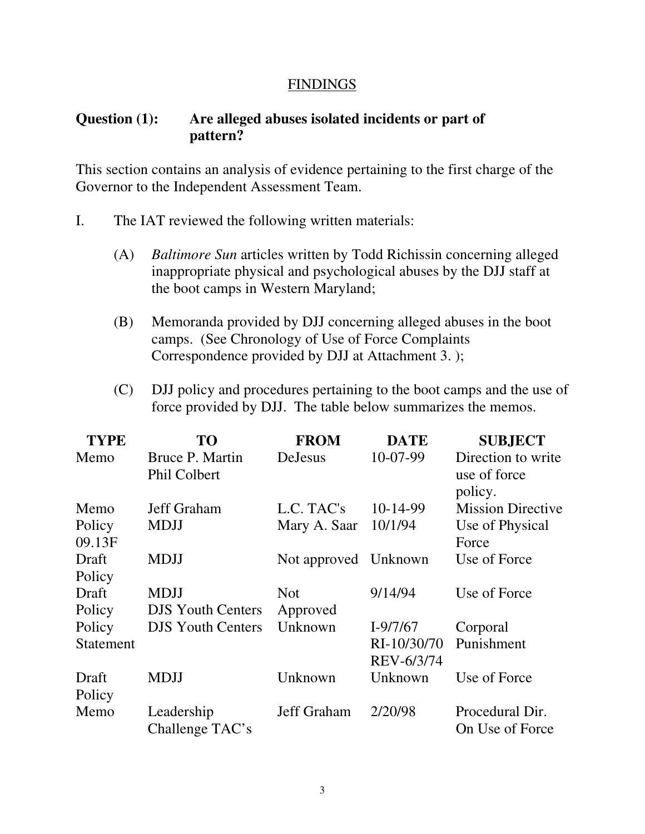### **FINDINGS**

## **Question (1): Are alleged abuses isolated incidents or part of pattern?**

This section contains an analysis of evidence pertaining to the first charge of the Governor to the Independent Assessment Team.

- I. The IAT reviewed the following written materials:
	- (A) *Baltimore Sun* articles written by Todd Richissin concerning alleged inappropriate physical and psychological abuses by the DJJ staff at the boot camps in Western Maryland;
	- (B) Memoranda provided by DJJ concerning alleged abuses in the boot camps. (See Chronology of Use of Force Complaints Correspondence provided by DJJ at Attachment 3. );
	- (C) DJJ policy and procedures pertaining to the boot camps and the use of force provided by DJJ. The table below summarizes the memos.

| <b>TYPE</b>      | TO                                     | <b>FROM</b>          | <b>DATE</b>               | <b>SUBJECT</b>                                |
|------------------|----------------------------------------|----------------------|---------------------------|-----------------------------------------------|
| Memo             | <b>Bruce P. Martin</b><br>Phil Colbert | DeJesus              | 10-07-99                  | Direction to write<br>use of force<br>policy. |
| Memo             | Jeff Graham                            | L.C. TAC's           | 10-14-99                  | <b>Mission Directive</b>                      |
| Policy<br>09.13F | <b>MDJJ</b>                            | Mary A. Saar         | 10/1/94                   | Use of Physical<br>Force                      |
| Draft<br>Policy  | <b>MDJJ</b>                            | Not approved Unknown |                           | Use of Force                                  |
| Draft            | <b>MDJJ</b>                            | <b>Not</b>           | 9/14/94                   | Use of Force                                  |
| Policy           | <b>DJS</b> Youth Centers               | Approved             |                           |                                               |
| Policy           | <b>DJS Youth Centers</b>               | Unknown              | $I-9/7/67$                | Corporal                                      |
| <b>Statement</b> |                                        |                      | RI-10/30/70<br>REV-6/3/74 | Punishment                                    |
| Draft<br>Policy  | <b>MDJJ</b>                            | Unknown              | Unknown                   | Use of Force                                  |
| Memo             | Leadership<br>Challenge TAC's          | Jeff Graham          | 2/20/98                   | Procedural Dir.<br>On Use of Force            |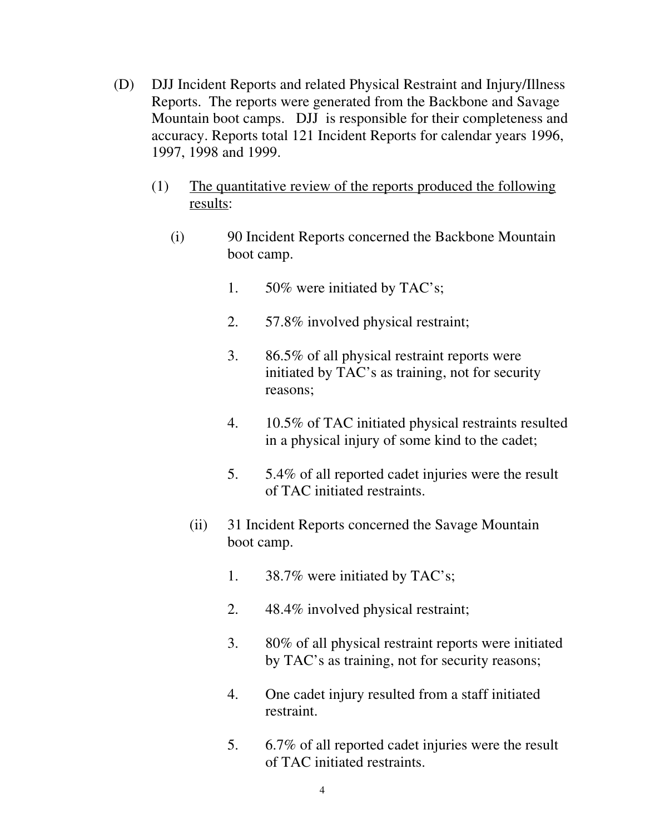- (D) DJJ Incident Reports and related Physical Restraint and Injury/Illness Reports. The reports were generated from the Backbone and Savage Mountain boot camps. DJJ is responsible for their completeness and accuracy. Reports total 121 Incident Reports for calendar years 1996, 1997, 1998 and 1999.
	- (1) The quantitative review of the reports produced the following results:
		- (i) 90 Incident Reports concerned the Backbone Mountain boot camp.
			- 1. 50% were initiated by TAC's;
			- 2. 57.8% involved physical restraint;
			- 3. 86.5% of all physical restraint reports were initiated by TAC's as training, not for security reasons;
			- 4. 10.5% of TAC initiated physical restraints resulted in a physical injury of some kind to the cadet;
			- 5. 5.4% of all reported cadet injuries were the result of TAC initiated restraints.
			- (ii) 31 Incident Reports concerned the Savage Mountain boot camp.
				- 1. 38.7% were initiated by TAC's;
				- 2. 48.4% involved physical restraint;
				- 3. 80% of all physical restraint reports were initiated by TAC's as training, not for security reasons;
				- 4. One cadet injury resulted from a staff initiated restraint.
				- 5. 6.7% of all reported cadet injuries were the result of TAC initiated restraints.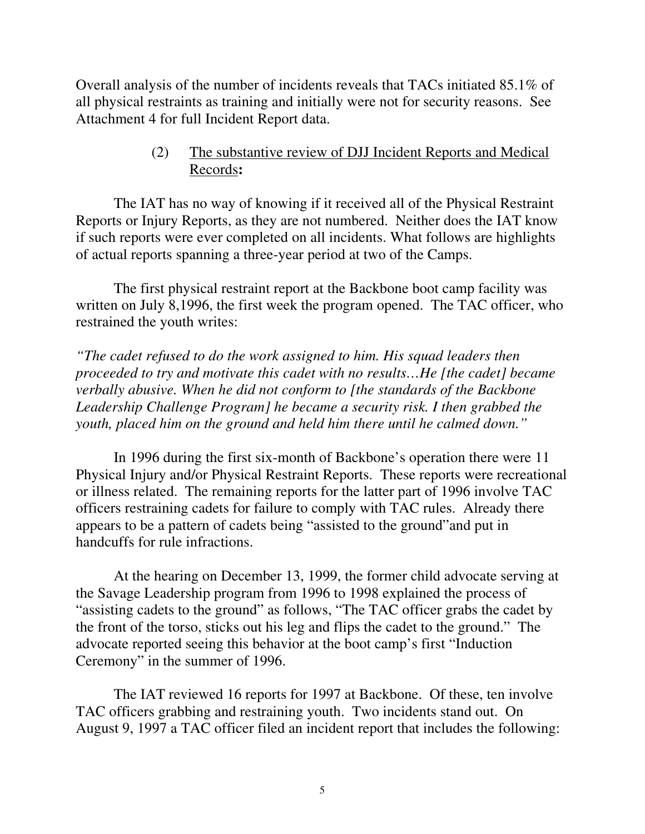Overall analysis of the number of incidents reveals that TACs initiated 85.1% of all physical restraints as training and initially were not for security reasons. See Attachment 4 for full Incident Report data.

## (2) The substantive review of DJJ Incident Reports and Medical Records**:**

The IAT has no way of knowing if it received all of the Physical Restraint Reports or Injury Reports, as they are not numbered. Neither does the IAT know if such reports were ever completed on all incidents. What follows are highlights of actual reports spanning a three-year period at two of the Camps.

The first physical restraint report at the Backbone boot camp facility was written on July 8,1996, the first week the program opened. The TAC officer, who restrained the youth writes:

*"The cadet refused to do the work assigned to him. His squad leaders then proceeded to try and motivate this cadet with no results…He [the cadet] became verbally abusive. When he did not conform to [the standards of the Backbone Leadership Challenge Program] he became a security risk. I then grabbed the youth, placed him on the ground and held him there until he calmed down."*

In 1996 during the first six-month of Backbone's operation there were 11 Physical Injury and/or Physical Restraint Reports. These reports were recreational or illness related. The remaining reports for the latter part of 1996 involve TAC officers restraining cadets for failure to comply with TAC rules. Already there appears to be a pattern of cadets being "assisted to the ground"and put in handcuffs for rule infractions.

At the hearing on December 13, 1999, the former child advocate serving at the Savage Leadership program from 1996 to 1998 explained the process of "assisting cadets to the ground" as follows, "The TAC officer grabs the cadet by the front of the torso, sticks out his leg and flips the cadet to the ground." The advocate reported seeing this behavior at the boot camp's first "Induction Ceremony" in the summer of 1996.

The IAT reviewed 16 reports for 1997 at Backbone. Of these, ten involve TAC officers grabbing and restraining youth. Two incidents stand out. On August 9, 1997 a TAC officer filed an incident report that includes the following: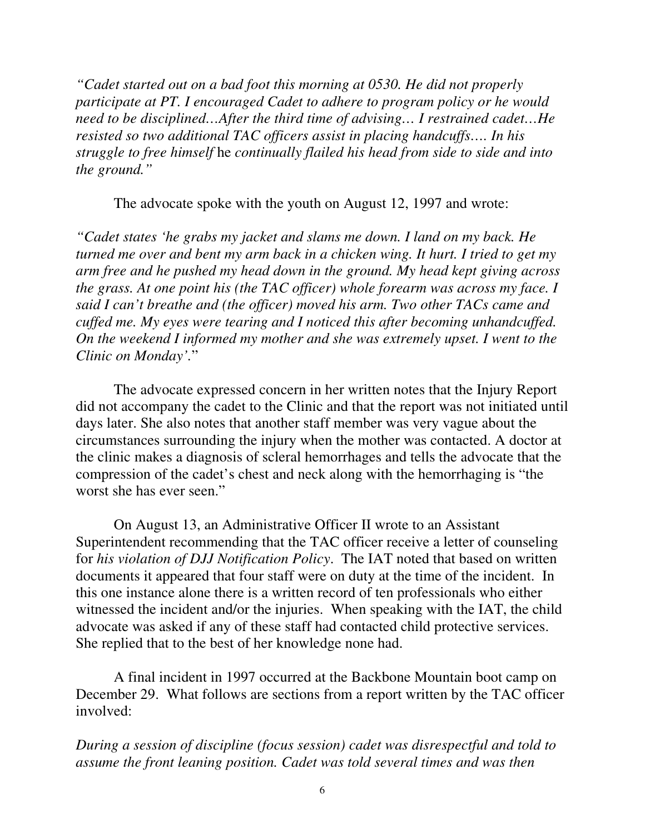*"Cadet started out on a bad foot this morning at 0530. He did not properly participate at PT. I encouraged Cadet to adhere to program policy or he would need to be disciplined…After the third time of advising… I restrained cadet…He resisted so two additional TAC officers assist in placing handcuffs…. In his struggle to free himself* he *continually flailed his head from side to side and into the ground."*

The advocate spoke with the youth on August 12, 1997 and wrote:

*"Cadet states 'he grabs my jacket and slams me down. I land on my back. He turned me over and bent my arm back in a chicken wing. It hurt. I tried to get my arm free and he pushed my head down in the ground. My head kept giving across the grass. At one point his (the TAC officer) whole forearm was across my face. I said I can't breathe and (the officer) moved his arm. Two other TACs came and cuffed me. My eyes were tearing and I noticed this after becoming unhandcuffed. On the weekend I informed my mother and she was extremely upset. I went to the Clinic on Monday'.*"

The advocate expressed concern in her written notes that the Injury Report did not accompany the cadet to the Clinic and that the report was not initiated until days later. She also notes that another staff member was very vague about the circumstances surrounding the injury when the mother was contacted. A doctor at the clinic makes a diagnosis of scleral hemorrhages and tells the advocate that the compression of the cadet's chest and neck along with the hemorrhaging is "the worst she has ever seen."

On August 13, an Administrative Officer II wrote to an Assistant Superintendent recommending that the TAC officer receive a letter of counseling for *his violation of DJJ Notification Policy*. The IAT noted that based on written documents it appeared that four staff were on duty at the time of the incident. In this one instance alone there is a written record of ten professionals who either witnessed the incident and/or the injuries. When speaking with the IAT, the child advocate was asked if any of these staff had contacted child protective services. She replied that to the best of her knowledge none had.

A final incident in 1997 occurred at the Backbone Mountain boot camp on December 29. What follows are sections from a report written by the TAC officer involved:

*During a session of discipline (focus session) cadet was disrespectful and told to assume the front leaning position. Cadet was told several times and was then*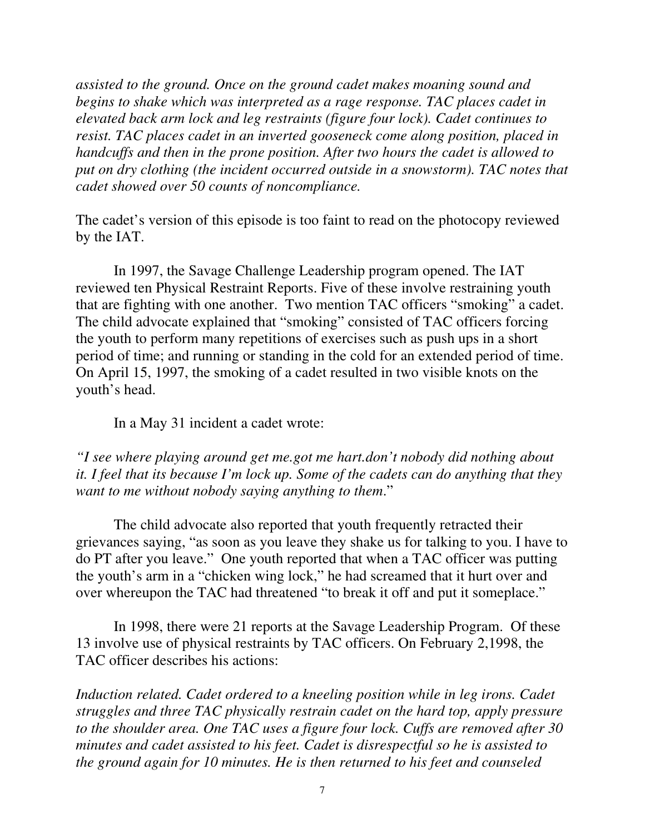*assisted to the ground. Once on the ground cadet makes moaning sound and begins to shake which was interpreted as a rage response. TAC places cadet in elevated back arm lock and leg restraints (figure four lock). Cadet continues to resist. TAC places cadet in an inverted gooseneck come along position, placed in handcuffs and then in the prone position. After two hours the cadet is allowed to put on dry clothing (the incident occurred outside in a snowstorm). TAC notes that cadet showed over 50 counts of noncompliance.*

The cadet's version of this episode is too faint to read on the photocopy reviewed by the IAT.

In 1997, the Savage Challenge Leadership program opened. The IAT reviewed ten Physical Restraint Reports. Five of these involve restraining youth that are fighting with one another. Two mention TAC officers "smoking" a cadet. The child advocate explained that "smoking" consisted of TAC officers forcing the youth to perform many repetitions of exercises such as push ups in a short period of time; and running or standing in the cold for an extended period of time. On April 15, 1997, the smoking of a cadet resulted in two visible knots on the youth's head.

In a May 31 incident a cadet wrote:

*"I see where playing around get me.got me hart.don't nobody did nothing about it. I feel that its because I'm lock up. Some of the cadets can do anything that they want to me without nobody saying anything to them*."

The child advocate also reported that youth frequently retracted their grievances saying, "as soon as you leave they shake us for talking to you. I have to do PT after you leave." One youth reported that when a TAC officer was putting the youth's arm in a "chicken wing lock," he had screamed that it hurt over and over whereupon the TAC had threatened "to break it off and put it someplace."

In 1998, there were 21 reports at the Savage Leadership Program. Of these 13 involve use of physical restraints by TAC officers. On February 2,1998, the TAC officer describes his actions:

*Induction related. Cadet ordered to a kneeling position while in leg irons. Cadet struggles and three TAC physically restrain cadet on the hard top, apply pressure to the shoulder area. One TAC uses a figure four lock. Cuffs are removed after 30 minutes and cadet assisted to his feet. Cadet is disrespectful so he is assisted to the ground again for 10 minutes. He is then returned to his feet and counseled*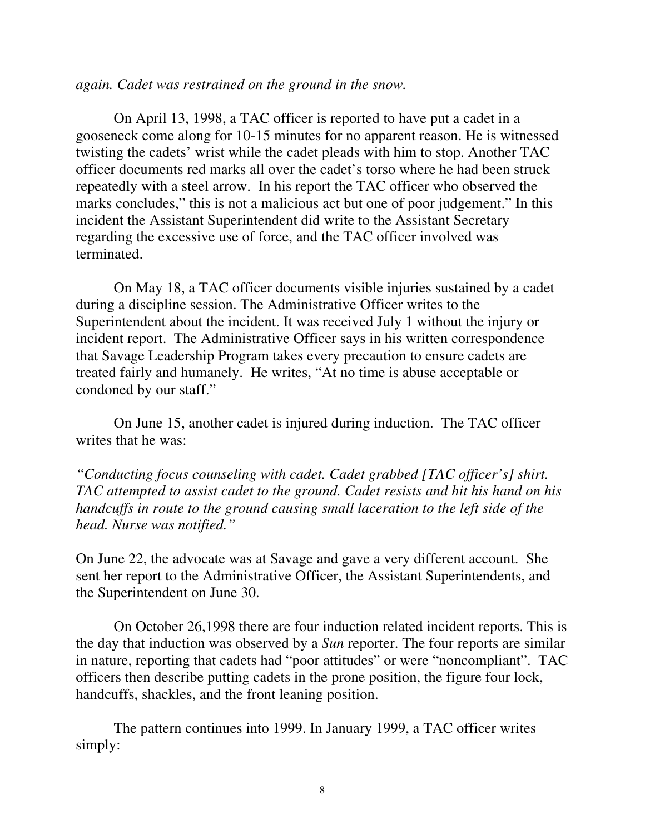#### *again. Cadet was restrained on the ground in the snow.*

On April 13, 1998, a TAC officer is reported to have put a cadet in a gooseneck come along for 10-15 minutes for no apparent reason. He is witnessed twisting the cadets' wrist while the cadet pleads with him to stop. Another TAC officer documents red marks all over the cadet's torso where he had been struck repeatedly with a steel arrow. In his report the TAC officer who observed the marks concludes," this is not a malicious act but one of poor judgement." In this incident the Assistant Superintendent did write to the Assistant Secretary regarding the excessive use of force, and the TAC officer involved was terminated.

On May 18, a TAC officer documents visible injuries sustained by a cadet during a discipline session. The Administrative Officer writes to the Superintendent about the incident. It was received July 1 without the injury or incident report. The Administrative Officer says in his written correspondence that Savage Leadership Program takes every precaution to ensure cadets are treated fairly and humanely. He writes, "At no time is abuse acceptable or condoned by our staff."

On June 15, another cadet is injured during induction. The TAC officer writes that he was:

*"Conducting focus counseling with cadet. Cadet grabbed [TAC officer's] shirt. TAC attempted to assist cadet to the ground. Cadet resists and hit his hand on his handcuffs in route to the ground causing small laceration to the left side of the head. Nurse was notified."*

On June 22, the advocate was at Savage and gave a very different account. She sent her report to the Administrative Officer, the Assistant Superintendents, and the Superintendent on June 30.

On October 26,1998 there are four induction related incident reports. This is the day that induction was observed by a *Sun* reporter. The four reports are similar in nature, reporting that cadets had "poor attitudes" or were "noncompliant". TAC officers then describe putting cadets in the prone position, the figure four lock, handcuffs, shackles, and the front leaning position.

The pattern continues into 1999. In January 1999, a TAC officer writes simply: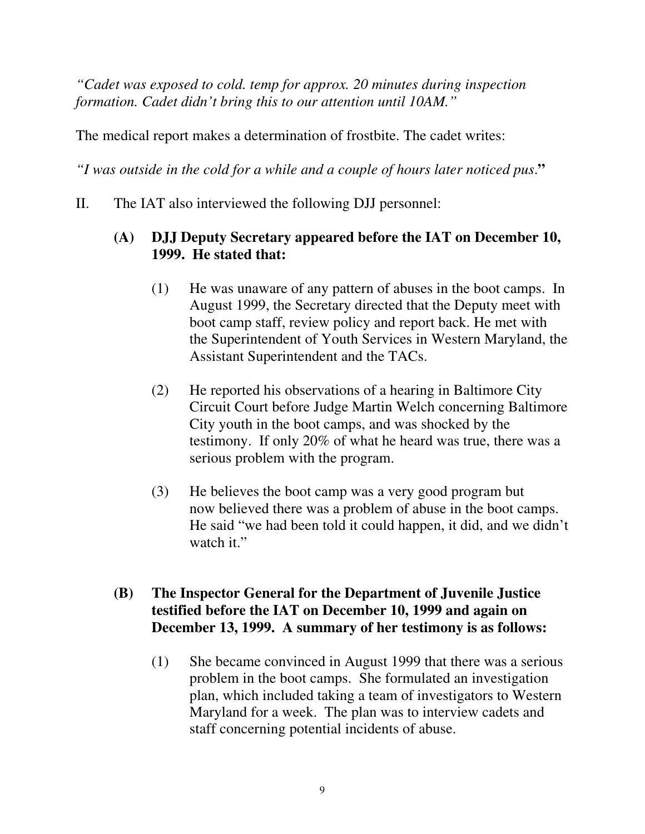*"Cadet was exposed to cold. temp for approx. 20 minutes during inspection formation. Cadet didn't bring this to our attention until 10AM."*

The medical report makes a determination of frostbite. The cadet writes:

*"I was outside in the cold for a while and a couple of hours later noticed pus*.**"**

II. The IAT also interviewed the following DJJ personnel:

## **(A) DJJ Deputy Secretary appeared before the IAT on December 10, 1999. He stated that:**

- (1) He was unaware of any pattern of abuses in the boot camps. In August 1999, the Secretary directed that the Deputy meet with boot camp staff, review policy and report back. He met with the Superintendent of Youth Services in Western Maryland, the Assistant Superintendent and the TACs.
- (2) He reported his observations of a hearing in Baltimore City Circuit Court before Judge Martin Welch concerning Baltimore City youth in the boot camps, and was shocked by the testimony. If only 20% of what he heard was true, there was a serious problem with the program.
- (3) He believes the boot camp was a very good program but now believed there was a problem of abuse in the boot camps. He said "we had been told it could happen, it did, and we didn't watch it."

# **(B) The Inspector General for the Department of Juvenile Justice testified before the IAT on December 10, 1999 and again on December 13, 1999. A summary of her testimony is as follows:**

(1) She became convinced in August 1999 that there was a serious problem in the boot camps. She formulated an investigation plan, which included taking a team of investigators to Western Maryland for a week. The plan was to interview cadets and staff concerning potential incidents of abuse.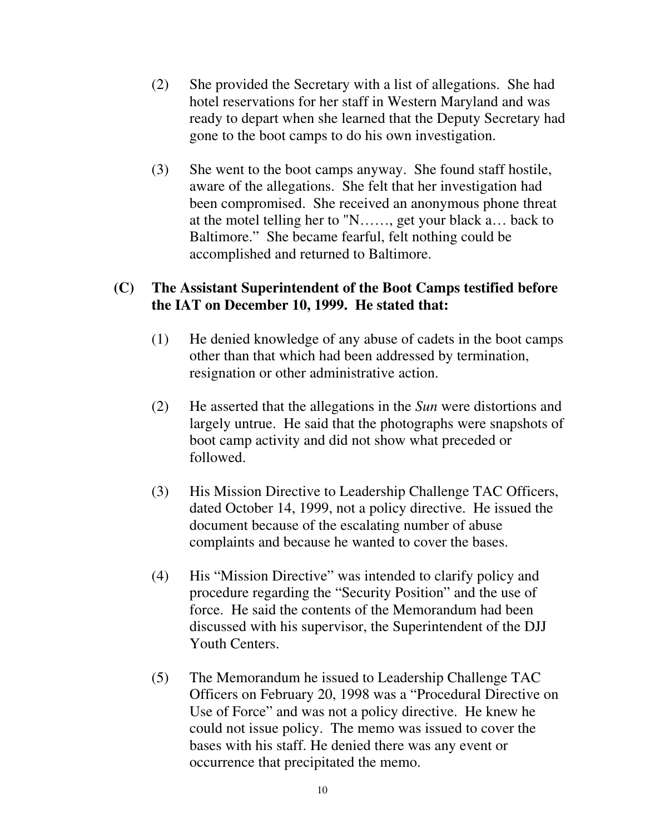- (2) She provided the Secretary with a list of allegations. She had hotel reservations for her staff in Western Maryland and was ready to depart when she learned that the Deputy Secretary had gone to the boot camps to do his own investigation.
- (3) She went to the boot camps anyway. She found staff hostile, aware of the allegations. She felt that her investigation had been compromised. She received an anonymous phone threat at the motel telling her to "N……, get your black a… back to Baltimore." She became fearful, felt nothing could be accomplished and returned to Baltimore.

## **(C) The Assistant Superintendent of the Boot Camps testified before the IAT on December 10, 1999. He stated that:**

- (1) He denied knowledge of any abuse of cadets in the boot camps other than that which had been addressed by termination, resignation or other administrative action.
- (2) He asserted that the allegations in the *Sun* were distortions and largely untrue. He said that the photographs were snapshots of boot camp activity and did not show what preceded or followed.
- (3) His Mission Directive to Leadership Challenge TAC Officers, dated October 14, 1999, not a policy directive. He issued the document because of the escalating number of abuse complaints and because he wanted to cover the bases.
- (4) His "Mission Directive" was intended to clarify policy and procedure regarding the "Security Position" and the use of force. He said the contents of the Memorandum had been discussed with his supervisor, the Superintendent of the DJJ Youth Centers.
- (5) The Memorandum he issued to Leadership Challenge TAC Officers on February 20, 1998 was a "Procedural Directive on Use of Force" and was not a policy directive. He knew he could not issue policy. The memo was issued to cover the bases with his staff. He denied there was any event or occurrence that precipitated the memo.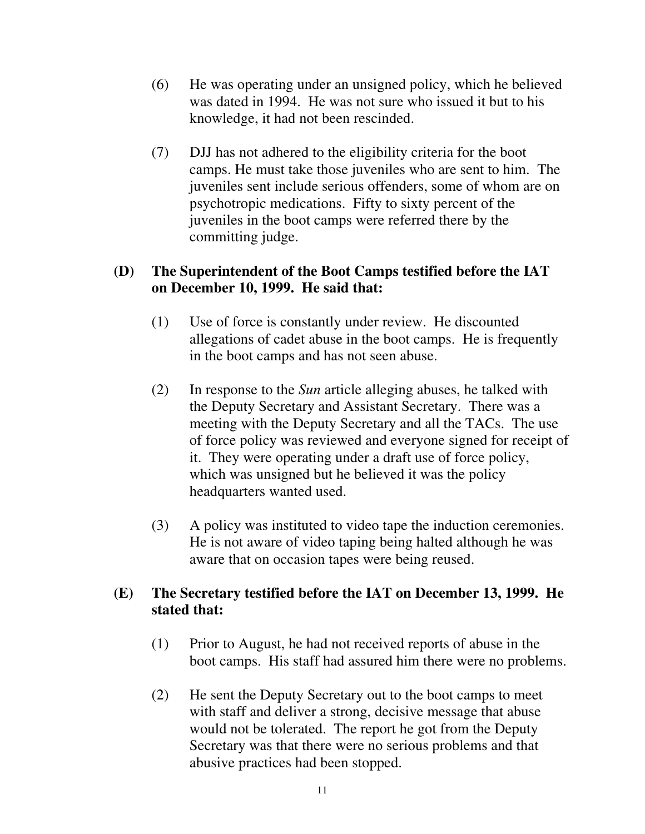- (6) He was operating under an unsigned policy, which he believed was dated in 1994. He was not sure who issued it but to his knowledge, it had not been rescinded.
- (7) DJJ has not adhered to the eligibility criteria for the boot camps. He must take those juveniles who are sent to him. The juveniles sent include serious offenders, some of whom are on psychotropic medications. Fifty to sixty percent of the juveniles in the boot camps were referred there by the committing judge.

## **(D) The Superintendent of the Boot Camps testified before the IAT on December 10, 1999. He said that:**

- (1) Use of force is constantly under review. He discounted allegations of cadet abuse in the boot camps. He is frequently in the boot camps and has not seen abuse.
- (2) In response to the *Sun* article alleging abuses, he talked with the Deputy Secretary and Assistant Secretary. There was a meeting with the Deputy Secretary and all the TACs. The use of force policy was reviewed and everyone signed for receipt of it. They were operating under a draft use of force policy, which was unsigned but he believed it was the policy headquarters wanted used.
- (3) A policy was instituted to video tape the induction ceremonies. He is not aware of video taping being halted although he was aware that on occasion tapes were being reused.

# **(E) The Secretary testified before the IAT on December 13, 1999. He stated that:**

- (1) Prior to August, he had not received reports of abuse in the boot camps. His staff had assured him there were no problems.
- (2) He sent the Deputy Secretary out to the boot camps to meet with staff and deliver a strong, decisive message that abuse would not be tolerated. The report he got from the Deputy Secretary was that there were no serious problems and that abusive practices had been stopped.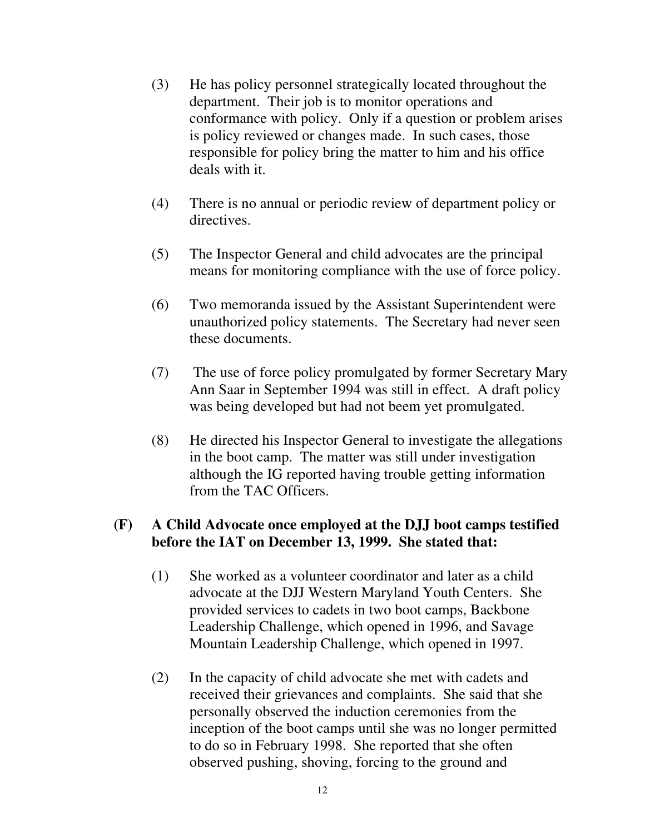- (3) He has policy personnel strategically located throughout the department. Their job is to monitor operations and conformance with policy. Only if a question or problem arises is policy reviewed or changes made. In such cases, those responsible for policy bring the matter to him and his office deals with it.
- (4) There is no annual or periodic review of department policy or directives.
- (5) The Inspector General and child advocates are the principal means for monitoring compliance with the use of force policy.
- (6) Two memoranda issued by the Assistant Superintendent were unauthorized policy statements. The Secretary had never seen these documents.
- (7) The use of force policy promulgated by former Secretary Mary Ann Saar in September 1994 was still in effect. A draft policy was being developed but had not beem yet promulgated.
- (8) He directed his Inspector General to investigate the allegations in the boot camp. The matter was still under investigation although the IG reported having trouble getting information from the TAC Officers.

## **(F) A Child Advocate once employed at the DJJ boot camps testified before the IAT on December 13, 1999. She stated that:**

- (1) She worked as a volunteer coordinator and later as a child advocate at the DJJ Western Maryland Youth Centers. She provided services to cadets in two boot camps, Backbone Leadership Challenge, which opened in 1996, and Savage Mountain Leadership Challenge, which opened in 1997.
- (2) In the capacity of child advocate she met with cadets and received their grievances and complaints. She said that she personally observed the induction ceremonies from the inception of the boot camps until she was no longer permitted to do so in February 1998. She reported that she often observed pushing, shoving, forcing to the ground and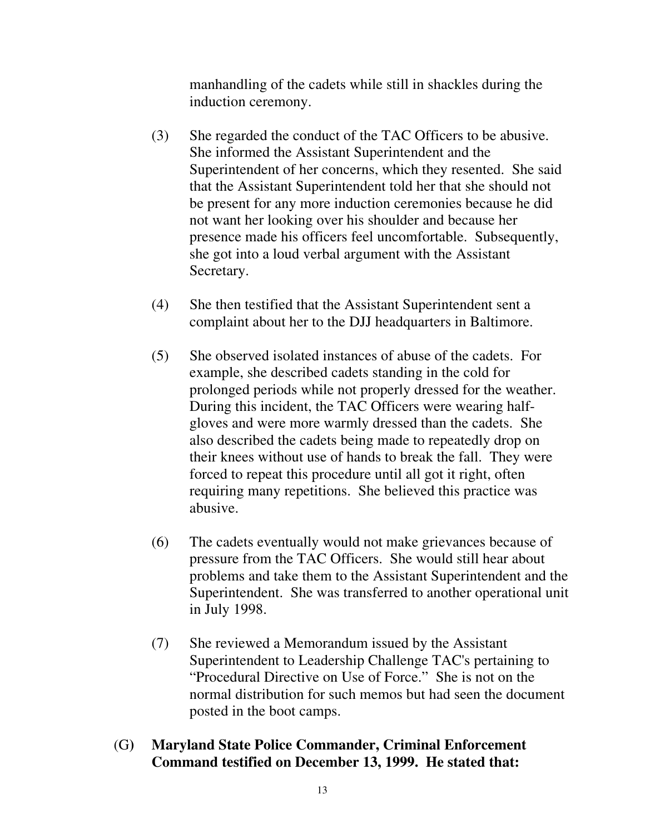manhandling of the cadets while still in shackles during the induction ceremony.

- (3) She regarded the conduct of the TAC Officers to be abusive. She informed the Assistant Superintendent and the Superintendent of her concerns, which they resented. She said that the Assistant Superintendent told her that she should not be present for any more induction ceremonies because he did not want her looking over his shoulder and because her presence made his officers feel uncomfortable. Subsequently, she got into a loud verbal argument with the Assistant Secretary.
- (4) She then testified that the Assistant Superintendent sent a complaint about her to the DJJ headquarters in Baltimore.
- (5) She observed isolated instances of abuse of the cadets. For example, she described cadets standing in the cold for prolonged periods while not properly dressed for the weather. During this incident, the TAC Officers were wearing halfgloves and were more warmly dressed than the cadets. She also described the cadets being made to repeatedly drop on their knees without use of hands to break the fall. They were forced to repeat this procedure until all got it right, often requiring many repetitions. She believed this practice was abusive.
- (6) The cadets eventually would not make grievances because of pressure from the TAC Officers. She would still hear about problems and take them to the Assistant Superintendent and the Superintendent. She was transferred to another operational unit in July 1998.
- (7) She reviewed a Memorandum issued by the Assistant Superintendent to Leadership Challenge TAC's pertaining to "Procedural Directive on Use of Force." She is not on the normal distribution for such memos but had seen the document posted in the boot camps.
- (G**) Maryland State Police Commander, Criminal Enforcement Command testified on December 13, 1999. He stated that:**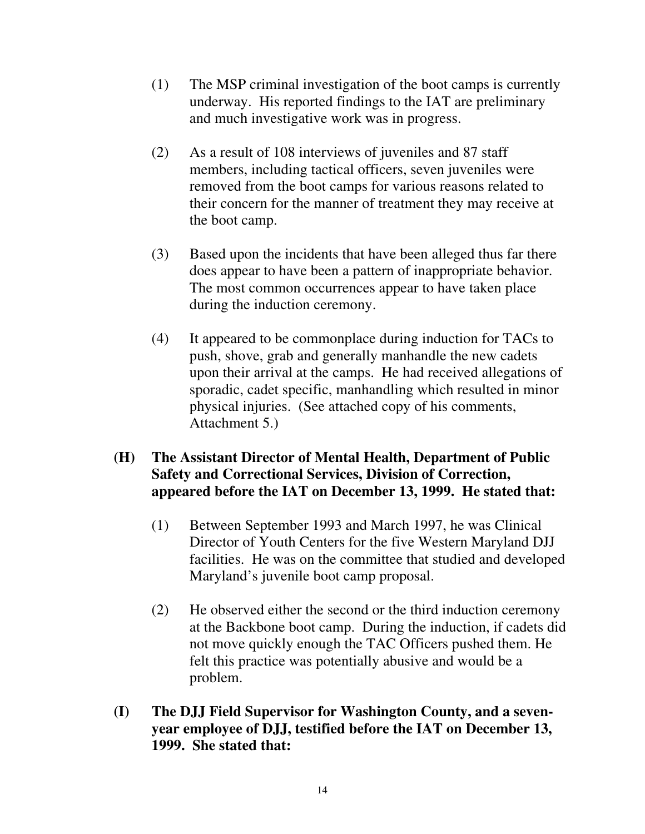- (1) The MSP criminal investigation of the boot camps is currently underway. His reported findings to the IAT are preliminary and much investigative work was in progress.
- (2) As a result of 108 interviews of juveniles and 87 staff members, including tactical officers, seven juveniles were removed from the boot camps for various reasons related to their concern for the manner of treatment they may receive at the boot camp.
- (3) Based upon the incidents that have been alleged thus far there does appear to have been a pattern of inappropriate behavior. The most common occurrences appear to have taken place during the induction ceremony.
- (4) It appeared to be commonplace during induction for TACs to push, shove, grab and generally manhandle the new cadets upon their arrival at the camps. He had received allegations of sporadic, cadet specific, manhandling which resulted in minor physical injuries. (See attached copy of his comments, Attachment 5.)

## **(H) The Assistant Director of Mental Health, Department of Public Safety and Correctional Services, Division of Correction, appeared before the IAT on December 13, 1999. He stated that:**

- (1) Between September 1993 and March 1997, he was Clinical Director of Youth Centers for the five Western Maryland DJJ facilities. He was on the committee that studied and developed Maryland's juvenile boot camp proposal.
- (2) He observed either the second or the third induction ceremony at the Backbone boot camp. During the induction, if cadets did not move quickly enough the TAC Officers pushed them. He felt this practice was potentially abusive and would be a problem.
- **(I) The DJJ Field Supervisor for Washington County, and a sevenyear employee of DJJ, testified before the IAT on December 13, 1999. She stated that:**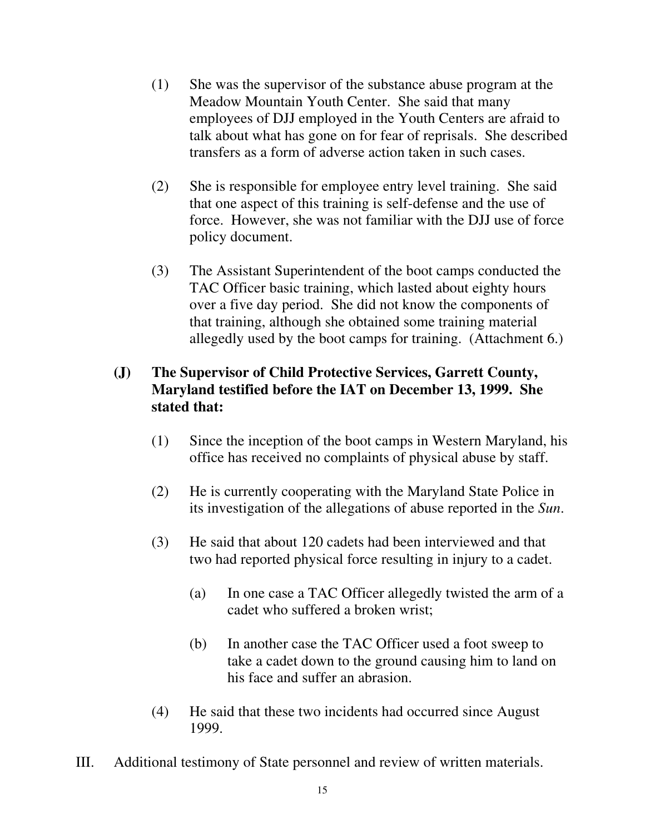- (1) She was the supervisor of the substance abuse program at the Meadow Mountain Youth Center. She said that many employees of DJJ employed in the Youth Centers are afraid to talk about what has gone on for fear of reprisals. She described transfers as a form of adverse action taken in such cases.
- (2) She is responsible for employee entry level training. She said that one aspect of this training is self-defense and the use of force. However, she was not familiar with the DJJ use of force policy document.
- (3) The Assistant Superintendent of the boot camps conducted the TAC Officer basic training, which lasted about eighty hours over a five day period. She did not know the components of that training, although she obtained some training material allegedly used by the boot camps for training. (Attachment 6.)

# **(J) The Supervisor of Child Protective Services, Garrett County, Maryland testified before the IAT on December 13, 1999. She stated that:**

- (1) Since the inception of the boot camps in Western Maryland, his office has received no complaints of physical abuse by staff.
- (2) He is currently cooperating with the Maryland State Police in its investigation of the allegations of abuse reported in the *Sun*.
- (3) He said that about 120 cadets had been interviewed and that two had reported physical force resulting in injury to a cadet.
	- (a) In one case a TAC Officer allegedly twisted the arm of a cadet who suffered a broken wrist;
	- (b) In another case the TAC Officer used a foot sweep to take a cadet down to the ground causing him to land on his face and suffer an abrasion.
- (4) He said that these two incidents had occurred since August 1999.
- III. Additional testimony of State personnel and review of written materials.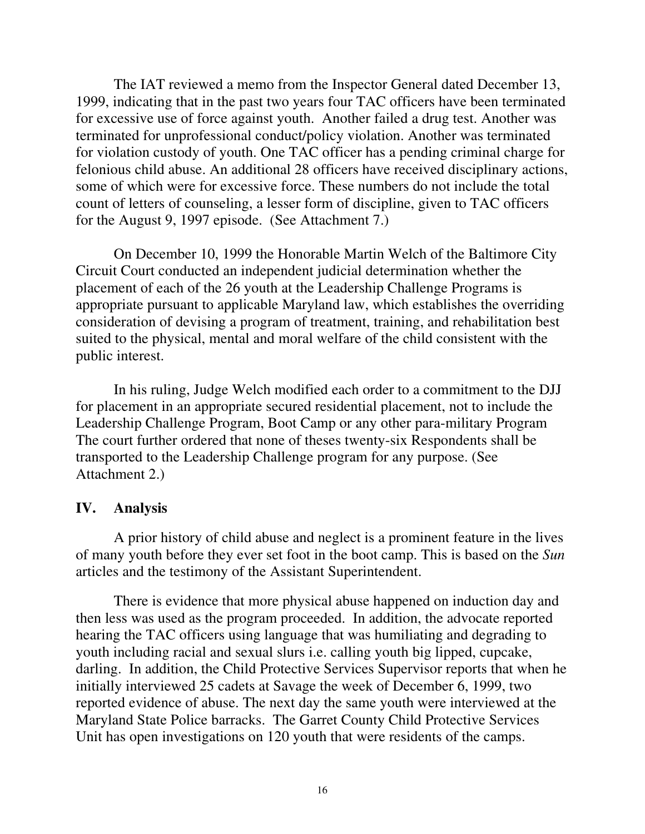The IAT reviewed a memo from the Inspector General dated December 13, 1999, indicating that in the past two years four TAC officers have been terminated for excessive use of force against youth. Another failed a drug test. Another was terminated for unprofessional conduct/policy violation. Another was terminated for violation custody of youth. One TAC officer has a pending criminal charge for felonious child abuse. An additional 28 officers have received disciplinary actions, some of which were for excessive force. These numbers do not include the total count of letters of counseling, a lesser form of discipline, given to TAC officers for the August 9, 1997 episode. (See Attachment 7.)

On December 10, 1999 the Honorable Martin Welch of the Baltimore City Circuit Court conducted an independent judicial determination whether the placement of each of the 26 youth at the Leadership Challenge Programs is appropriate pursuant to applicable Maryland law, which establishes the overriding consideration of devising a program of treatment, training, and rehabilitation best suited to the physical, mental and moral welfare of the child consistent with the public interest.

In his ruling, Judge Welch modified each order to a commitment to the DJJ for placement in an appropriate secured residential placement, not to include the Leadership Challenge Program, Boot Camp or any other para-military Program The court further ordered that none of theses twenty-six Respondents shall be transported to the Leadership Challenge program for any purpose. (See Attachment 2.)

#### **IV. Analysis**

A prior history of child abuse and neglect is a prominent feature in the lives of many youth before they ever set foot in the boot camp. This is based on the *Sun* articles and the testimony of the Assistant Superintendent.

There is evidence that more physical abuse happened on induction day and then less was used as the program proceeded. In addition, the advocate reported hearing the TAC officers using language that was humiliating and degrading to youth including racial and sexual slurs i.e. calling youth big lipped, cupcake, darling. In addition, the Child Protective Services Supervisor reports that when he initially interviewed 25 cadets at Savage the week of December 6, 1999, two reported evidence of abuse. The next day the same youth were interviewed at the Maryland State Police barracks. The Garret County Child Protective Services Unit has open investigations on 120 youth that were residents of the camps.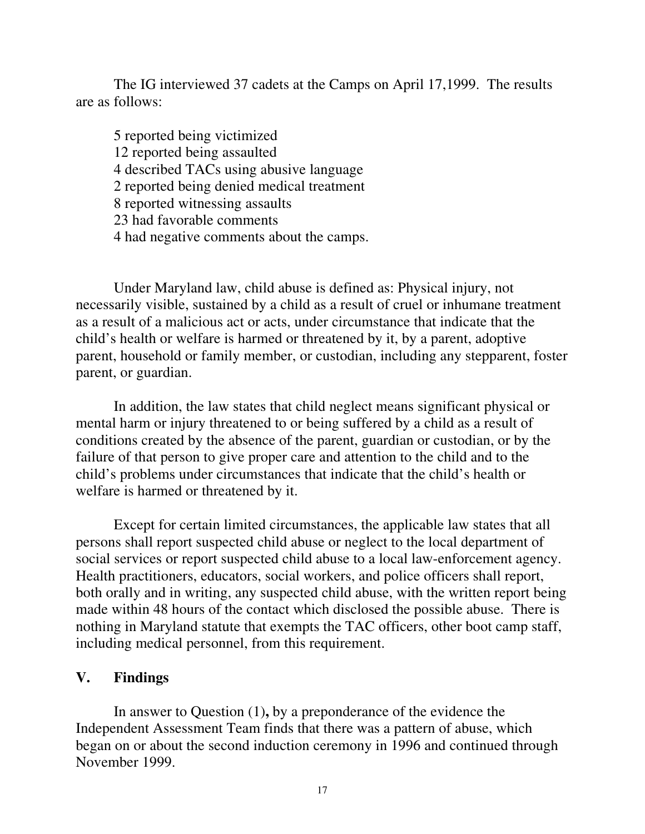The IG interviewed 37 cadets at the Camps on April 17,1999. The results are as follows:

5 reported being victimized 12 reported being assaulted 4 described TACs using abusive language 2 reported being denied medical treatment 8 reported witnessing assaults 23 had favorable comments 4 had negative comments about the camps.

Under Maryland law, child abuse is defined as: Physical injury, not necessarily visible, sustained by a child as a result of cruel or inhumane treatment as a result of a malicious act or acts, under circumstance that indicate that the child's health or welfare is harmed or threatened by it, by a parent, adoptive parent, household or family member, or custodian, including any stepparent, foster parent, or guardian.

In addition, the law states that child neglect means significant physical or mental harm or injury threatened to or being suffered by a child as a result of conditions created by the absence of the parent, guardian or custodian, or by the failure of that person to give proper care and attention to the child and to the child's problems under circumstances that indicate that the child's health or welfare is harmed or threatened by it.

Except for certain limited circumstances, the applicable law states that all persons shall report suspected child abuse or neglect to the local department of social services or report suspected child abuse to a local law-enforcement agency. Health practitioners, educators, social workers, and police officers shall report, both orally and in writing, any suspected child abuse, with the written report being made within 48 hours of the contact which disclosed the possible abuse. There is nothing in Maryland statute that exempts the TAC officers, other boot camp staff, including medical personnel, from this requirement.

#### **V. Findings**

In answer to Question (1)**,** by a preponderance of the evidence the Independent Assessment Team finds that there was a pattern of abuse, which began on or about the second induction ceremony in 1996 and continued through November 1999.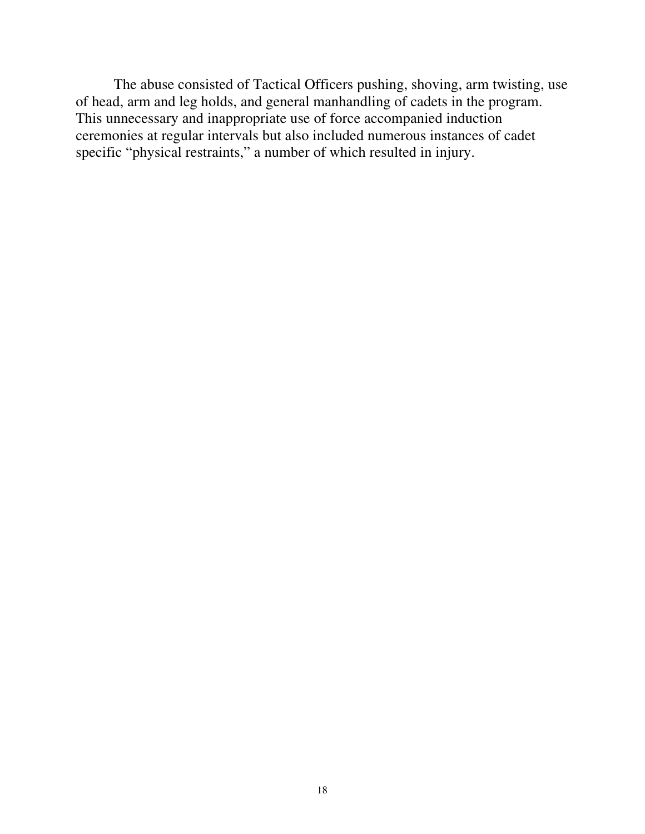The abuse consisted of Tactical Officers pushing, shoving, arm twisting, use of head, arm and leg holds, and general manhandling of cadets in the program. This unnecessary and inappropriate use of force accompanied induction ceremonies at regular intervals but also included numerous instances of cadet specific "physical restraints," a number of which resulted in injury.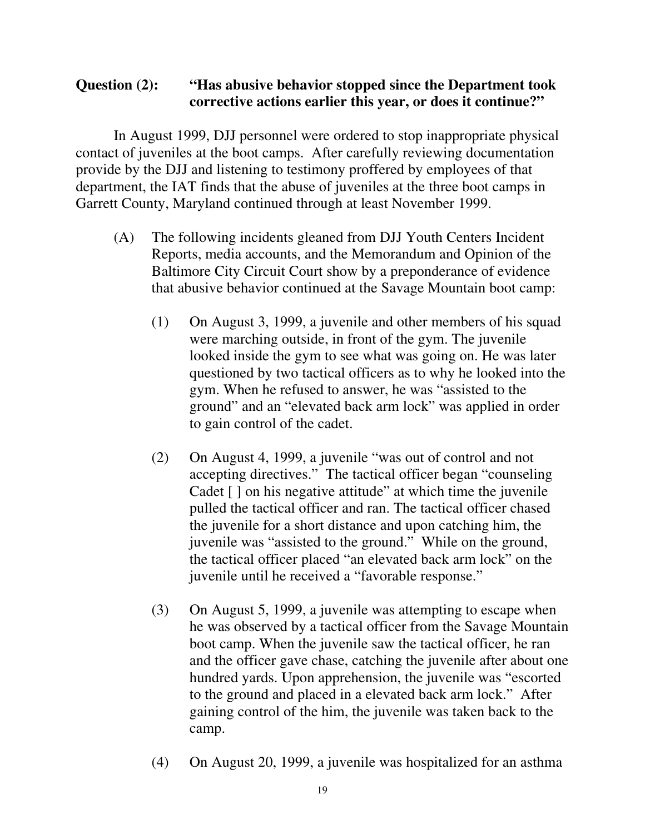## **Question (2): "Has abusive behavior stopped since the Department took corrective actions earlier this year, or does it continue?"**

In August 1999, DJJ personnel were ordered to stop inappropriate physical contact of juveniles at the boot camps. After carefully reviewing documentation provide by the DJJ and listening to testimony proffered by employees of that department, the IAT finds that the abuse of juveniles at the three boot camps in Garrett County, Maryland continued through at least November 1999.

- (A) The following incidents gleaned from DJJ Youth Centers Incident Reports, media accounts, and the Memorandum and Opinion of the Baltimore City Circuit Court show by a preponderance of evidence that abusive behavior continued at the Savage Mountain boot camp:
	- (1) On August 3, 1999, a juvenile and other members of his squad were marching outside, in front of the gym. The juvenile looked inside the gym to see what was going on. He was later questioned by two tactical officers as to why he looked into the gym. When he refused to answer, he was "assisted to the ground" and an "elevated back arm lock" was applied in order to gain control of the cadet.
	- (2) On August 4, 1999, a juvenile "was out of control and not accepting directives." The tactical officer began "counseling Cadet [] on his negative attitude" at which time the juvenile pulled the tactical officer and ran. The tactical officer chased the juvenile for a short distance and upon catching him, the juvenile was "assisted to the ground." While on the ground, the tactical officer placed "an elevated back arm lock" on the juvenile until he received a "favorable response."
	- (3) On August 5, 1999, a juvenile was attempting to escape when he was observed by a tactical officer from the Savage Mountain boot camp. When the juvenile saw the tactical officer, he ran and the officer gave chase, catching the juvenile after about one hundred yards. Upon apprehension, the juvenile was "escorted to the ground and placed in a elevated back arm lock." After gaining control of the him, the juvenile was taken back to the camp.
	- (4) On August 20, 1999, a juvenile was hospitalized for an asthma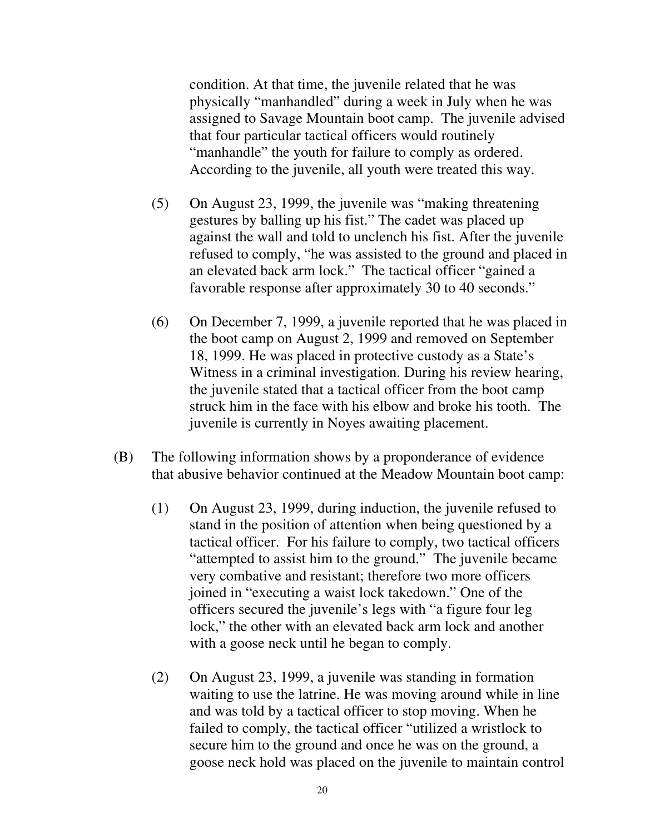condition. At that time, the juvenile related that he was physically "manhandled" during a week in July when he was assigned to Savage Mountain boot camp. The juvenile advised that four particular tactical officers would routinely "manhandle" the youth for failure to comply as ordered. According to the juvenile, all youth were treated this way.

- (5) On August 23, 1999, the juvenile was "making threatening gestures by balling up his fist." The cadet was placed up against the wall and told to unclench his fist. After the juvenile refused to comply, "he was assisted to the ground and placed in an elevated back arm lock." The tactical officer "gained a favorable response after approximately 30 to 40 seconds."
- (6) On December 7, 1999, a juvenile reported that he was placed in the boot camp on August 2, 1999 and removed on September 18, 1999. He was placed in protective custody as a State's Witness in a criminal investigation. During his review hearing, the juvenile stated that a tactical officer from the boot camp struck him in the face with his elbow and broke his tooth. The juvenile is currently in Noyes awaiting placement.
- (B) The following information shows by a proponderance of evidence that abusive behavior continued at the Meadow Mountain boot camp:
	- (1) On August 23, 1999, during induction, the juvenile refused to stand in the position of attention when being questioned by a tactical officer. For his failure to comply, two tactical officers "attempted to assist him to the ground." The juvenile became very combative and resistant; therefore two more officers joined in "executing a waist lock takedown." One of the officers secured the juvenile's legs with "a figure four leg lock," the other with an elevated back arm lock and another with a goose neck until he began to comply.
	- (2) On August 23, 1999, a juvenile was standing in formation waiting to use the latrine. He was moving around while in line and was told by a tactical officer to stop moving. When he failed to comply, the tactical officer "utilized a wristlock to secure him to the ground and once he was on the ground, a goose neck hold was placed on the juvenile to maintain control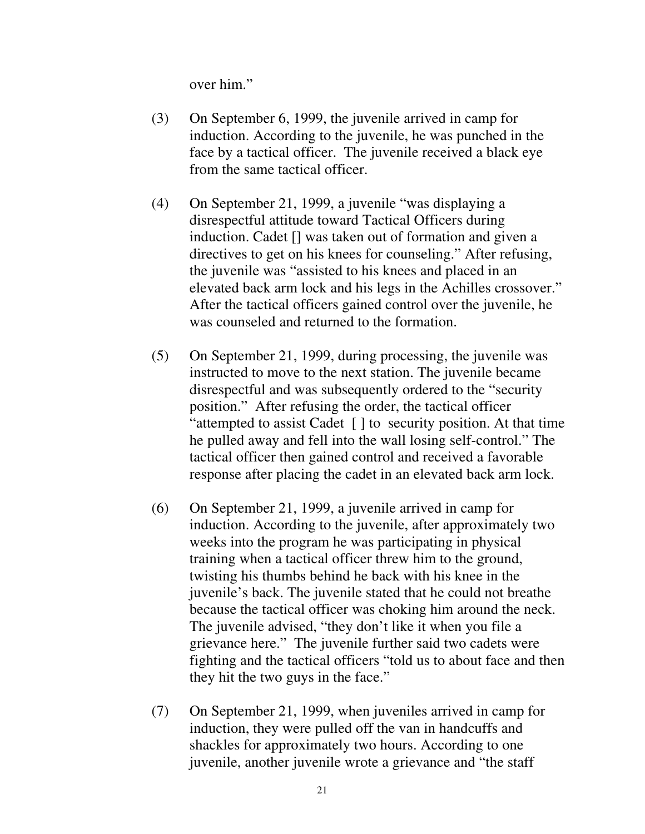over him."

- (3) On September 6, 1999, the juvenile arrived in camp for induction. According to the juvenile, he was punched in the face by a tactical officer. The juvenile received a black eye from the same tactical officer.
- (4) On September 21, 1999, a juvenile "was displaying a disrespectful attitude toward Tactical Officers during induction. Cadet [] was taken out of formation and given a directives to get on his knees for counseling." After refusing, the juvenile was "assisted to his knees and placed in an elevated back arm lock and his legs in the Achilles crossover." After the tactical officers gained control over the juvenile, he was counseled and returned to the formation.
- (5) On September 21, 1999, during processing, the juvenile was instructed to move to the next station. The juvenile became disrespectful and was subsequently ordered to the "security position." After refusing the order, the tactical officer "attempted to assist Cadet [ ] to security position. At that time he pulled away and fell into the wall losing self-control." The tactical officer then gained control and received a favorable response after placing the cadet in an elevated back arm lock.
- (6) On September 21, 1999, a juvenile arrived in camp for induction. According to the juvenile, after approximately two weeks into the program he was participating in physical training when a tactical officer threw him to the ground, twisting his thumbs behind he back with his knee in the juvenile's back. The juvenile stated that he could not breathe because the tactical officer was choking him around the neck. The juvenile advised, "they don't like it when you file a grievance here." The juvenile further said two cadets were fighting and the tactical officers "told us to about face and then they hit the two guys in the face."
- (7) On September 21, 1999, when juveniles arrived in camp for induction, they were pulled off the van in handcuffs and shackles for approximately two hours. According to one juvenile, another juvenile wrote a grievance and "the staff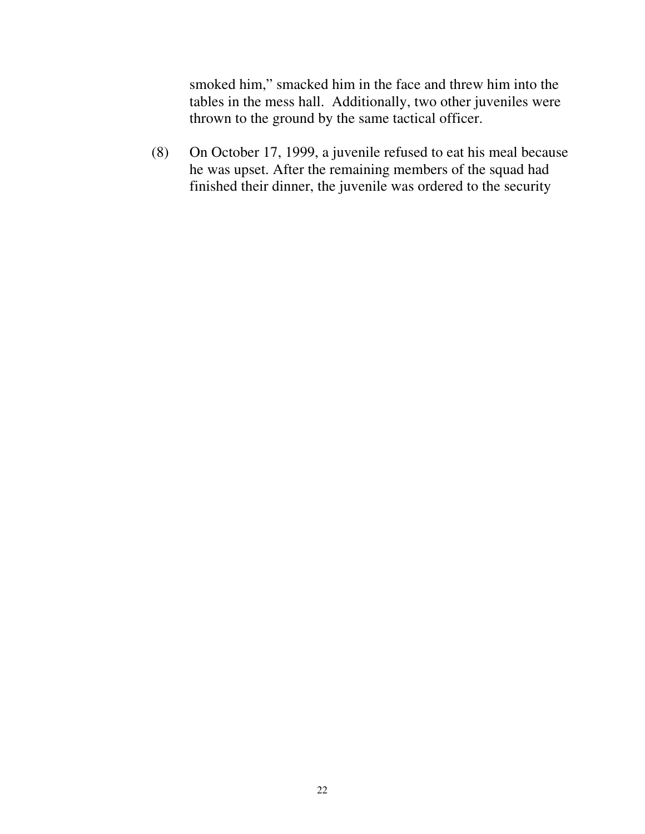smoked him," smacked him in the face and threw him into the tables in the mess hall. Additionally, two other juveniles were thrown to the ground by the same tactical officer.

(8) On October 17, 1999, a juvenile refused to eat his meal because he was upset. After the remaining members of the squad had finished their dinner, the juvenile was ordered to the security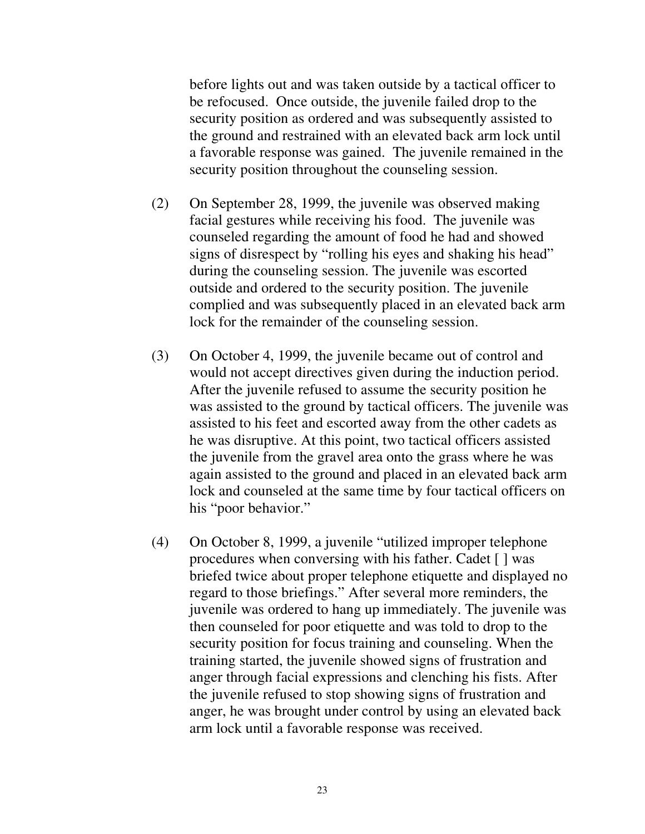before lights out and was taken outside by a tactical officer to be refocused. Once outside, the juvenile failed drop to the security position as ordered and was subsequently assisted to the ground and restrained with an elevated back arm lock until a favorable response was gained. The juvenile remained in the security position throughout the counseling session.

- (2) On September 28, 1999, the juvenile was observed making facial gestures while receiving his food. The juvenile was counseled regarding the amount of food he had and showed signs of disrespect by "rolling his eyes and shaking his head" during the counseling session. The juvenile was escorted outside and ordered to the security position. The juvenile complied and was subsequently placed in an elevated back arm lock for the remainder of the counseling session.
- (3) On October 4, 1999, the juvenile became out of control and would not accept directives given during the induction period. After the juvenile refused to assume the security position he was assisted to the ground by tactical officers. The juvenile was assisted to his feet and escorted away from the other cadets as he was disruptive. At this point, two tactical officers assisted the juvenile from the gravel area onto the grass where he was again assisted to the ground and placed in an elevated back arm lock and counseled at the same time by four tactical officers on his "poor behavior."
- (4) On October 8, 1999, a juvenile "utilized improper telephone procedures when conversing with his father. Cadet [ ] was briefed twice about proper telephone etiquette and displayed no regard to those briefings." After several more reminders, the juvenile was ordered to hang up immediately. The juvenile was then counseled for poor etiquette and was told to drop to the security position for focus training and counseling. When the training started, the juvenile showed signs of frustration and anger through facial expressions and clenching his fists. After the juvenile refused to stop showing signs of frustration and anger, he was brought under control by using an elevated back arm lock until a favorable response was received.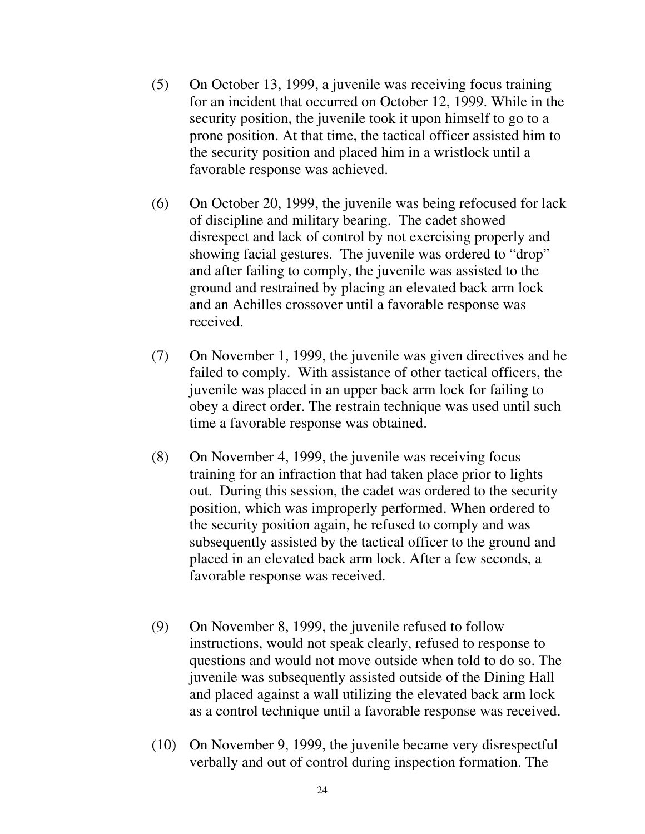- (5) On October 13, 1999, a juvenile was receiving focus training for an incident that occurred on October 12, 1999. While in the security position, the juvenile took it upon himself to go to a prone position. At that time, the tactical officer assisted him to the security position and placed him in a wristlock until a favorable response was achieved.
- (6) On October 20, 1999, the juvenile was being refocused for lack of discipline and military bearing. The cadet showed disrespect and lack of control by not exercising properly and showing facial gestures. The juvenile was ordered to "drop" and after failing to comply, the juvenile was assisted to the ground and restrained by placing an elevated back arm lock and an Achilles crossover until a favorable response was received.
- (7) On November 1, 1999, the juvenile was given directives and he failed to comply. With assistance of other tactical officers, the juvenile was placed in an upper back arm lock for failing to obey a direct order. The restrain technique was used until such time a favorable response was obtained.
- (8) On November 4, 1999, the juvenile was receiving focus training for an infraction that had taken place prior to lights out. During this session, the cadet was ordered to the security position, which was improperly performed. When ordered to the security position again, he refused to comply and was subsequently assisted by the tactical officer to the ground and placed in an elevated back arm lock. After a few seconds, a favorable response was received.
- (9) On November 8, 1999, the juvenile refused to follow instructions, would not speak clearly, refused to response to questions and would not move outside when told to do so. The juvenile was subsequently assisted outside of the Dining Hall and placed against a wall utilizing the elevated back arm lock as a control technique until a favorable response was received.
- (10) On November 9, 1999, the juvenile became very disrespectful verbally and out of control during inspection formation. The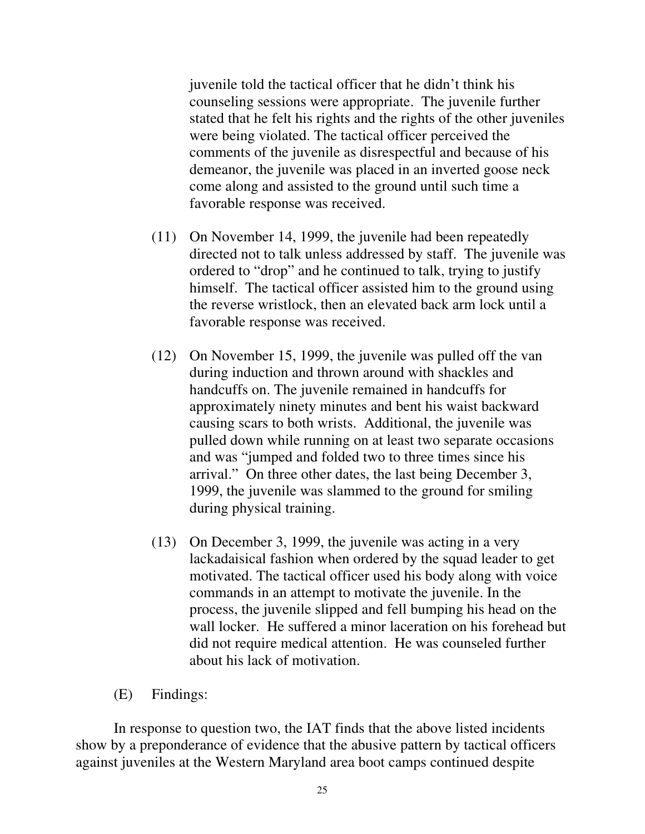juvenile told the tactical officer that he didn't think his counseling sessions were appropriate. The juvenile further stated that he felt his rights and the rights of the other juveniles were being violated. The tactical officer perceived the comments of the juvenile as disrespectful and because of his demeanor, the juvenile was placed in an inverted goose neck come along and assisted to the ground until such time a favorable response was received.

- (11) On November 14, 1999, the juvenile had been repeatedly directed not to talk unless addressed by staff. The juvenile was ordered to "drop" and he continued to talk, trying to justify himself. The tactical officer assisted him to the ground using the reverse wristlock, then an elevated back arm lock until a favorable response was received.
- (12) On November 15, 1999, the juvenile was pulled off the van during induction and thrown around with shackles and handcuffs on. The juvenile remained in handcuffs for approximately ninety minutes and bent his waist backward causing scars to both wrists. Additional, the juvenile was pulled down while running on at least two separate occasions and was "jumped and folded two to three times since his arrival." On three other dates, the last being December 3, 1999, the juvenile was slammed to the ground for smiling during physical training.
- (13) On December 3, 1999, the juvenile was acting in a very lackadaisical fashion when ordered by the squad leader to get motivated. The tactical officer used his body along with voice commands in an attempt to motivate the juvenile. In the process, the juvenile slipped and fell bumping his head on the wall locker. He suffered a minor laceration on his forehead but did not require medical attention. He was counseled further about his lack of motivation.
- (E) Findings:

In response to question two, the IAT finds that the above listed incidents show by a preponderance of evidence that the abusive pattern by tactical officers against juveniles at the Western Maryland area boot camps continued despite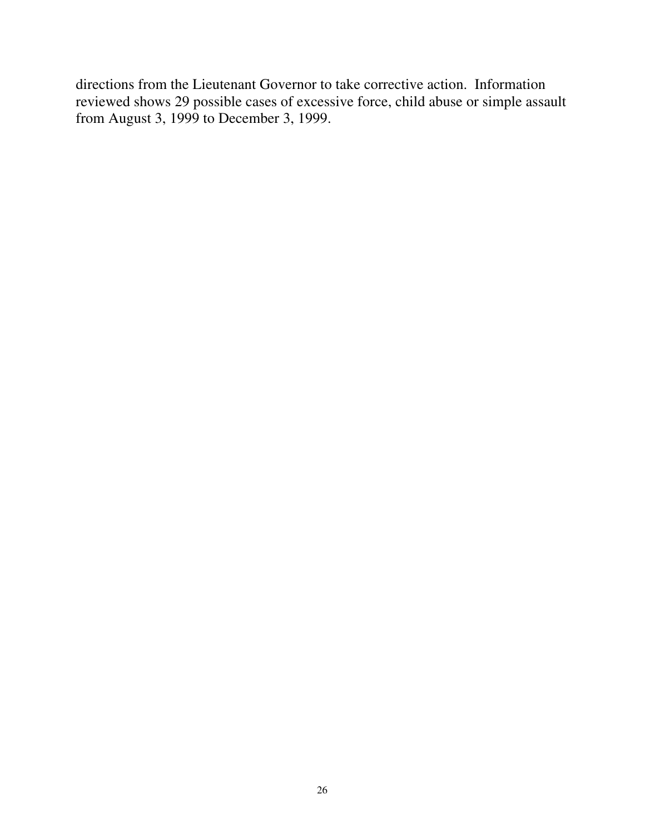directions from the Lieutenant Governor to take corrective action. Information reviewed shows 29 possible cases of excessive force, child abuse or simple assault from August 3, 1999 to December 3, 1999.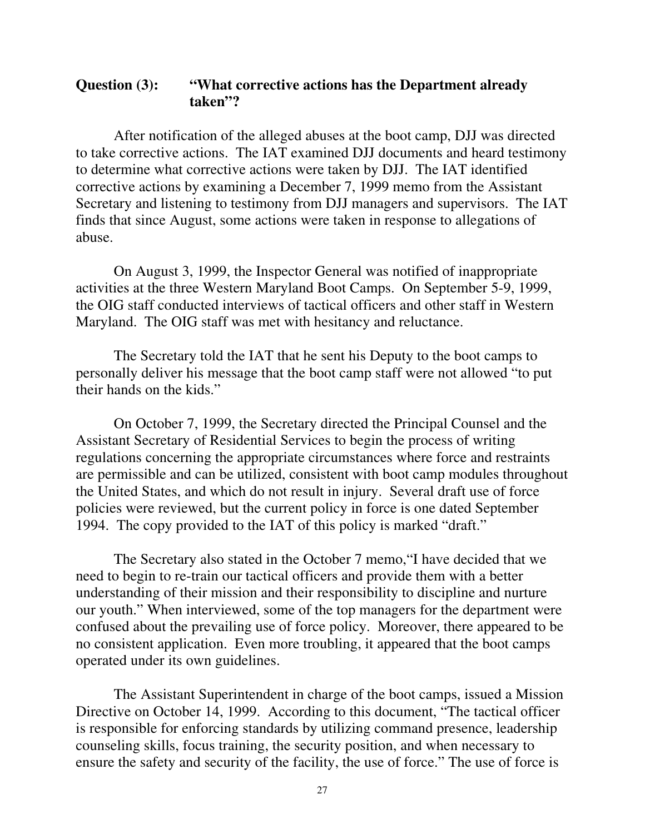### **Question (3): "What corrective actions has the Department already taken"?**

After notification of the alleged abuses at the boot camp, DJJ was directed to take corrective actions. The IAT examined DJJ documents and heard testimony to determine what corrective actions were taken by DJJ. The IAT identified corrective actions by examining a December 7, 1999 memo from the Assistant Secretary and listening to testimony from DJJ managers and supervisors. The IAT finds that since August, some actions were taken in response to allegations of abuse.

On August 3, 1999, the Inspector General was notified of inappropriate activities at the three Western Maryland Boot Camps. On September 5-9, 1999, the OIG staff conducted interviews of tactical officers and other staff in Western Maryland. The OIG staff was met with hesitancy and reluctance.

The Secretary told the IAT that he sent his Deputy to the boot camps to personally deliver his message that the boot camp staff were not allowed "to put their hands on the kids."

On October 7, 1999, the Secretary directed the Principal Counsel and the Assistant Secretary of Residential Services to begin the process of writing regulations concerning the appropriate circumstances where force and restraints are permissible and can be utilized, consistent with boot camp modules throughout the United States, and which do not result in injury. Several draft use of force policies were reviewed, but the current policy in force is one dated September 1994. The copy provided to the IAT of this policy is marked "draft."

The Secretary also stated in the October 7 memo,"I have decided that we need to begin to re-train our tactical officers and provide them with a better understanding of their mission and their responsibility to discipline and nurture our youth." When interviewed, some of the top managers for the department were confused about the prevailing use of force policy. Moreover, there appeared to be no consistent application. Even more troubling, it appeared that the boot camps operated under its own guidelines.

The Assistant Superintendent in charge of the boot camps, issued a Mission Directive on October 14, 1999. According to this document, "The tactical officer is responsible for enforcing standards by utilizing command presence, leadership counseling skills, focus training, the security position, and when necessary to ensure the safety and security of the facility, the use of force." The use of force is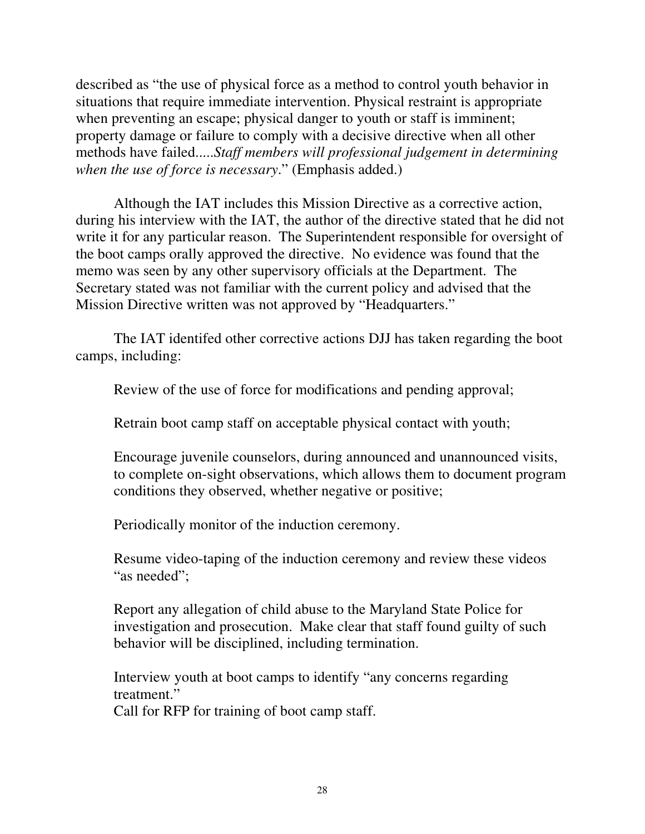described as "the use of physical force as a method to control youth behavior in situations that require immediate intervention. Physical restraint is appropriate when preventing an escape; physical danger to youth or staff is imminent; property damage or failure to comply with a decisive directive when all other methods have failed.....*Staff members will professional judgement in determining when the use of force is necessary*." (Emphasis added.)

Although the IAT includes this Mission Directive as a corrective action, during his interview with the IAT, the author of the directive stated that he did not write it for any particular reason. The Superintendent responsible for oversight of the boot camps orally approved the directive. No evidence was found that the memo was seen by any other supervisory officials at the Department. The Secretary stated was not familiar with the current policy and advised that the Mission Directive written was not approved by "Headquarters."

The IAT identifed other corrective actions DJJ has taken regarding the boot camps, including:

Review of the use of force for modifications and pending approval;

Retrain boot camp staff on acceptable physical contact with youth;

Encourage juvenile counselors, during announced and unannounced visits, to complete on-sight observations, which allows them to document program conditions they observed, whether negative or positive;

Periodically monitor of the induction ceremony.

Resume video-taping of the induction ceremony and review these videos "as needed";

Report any allegation of child abuse to the Maryland State Police for investigation and prosecution. Make clear that staff found guilty of such behavior will be disciplined, including termination.

Interview youth at boot camps to identify "any concerns regarding treatment."

Call for RFP for training of boot camp staff.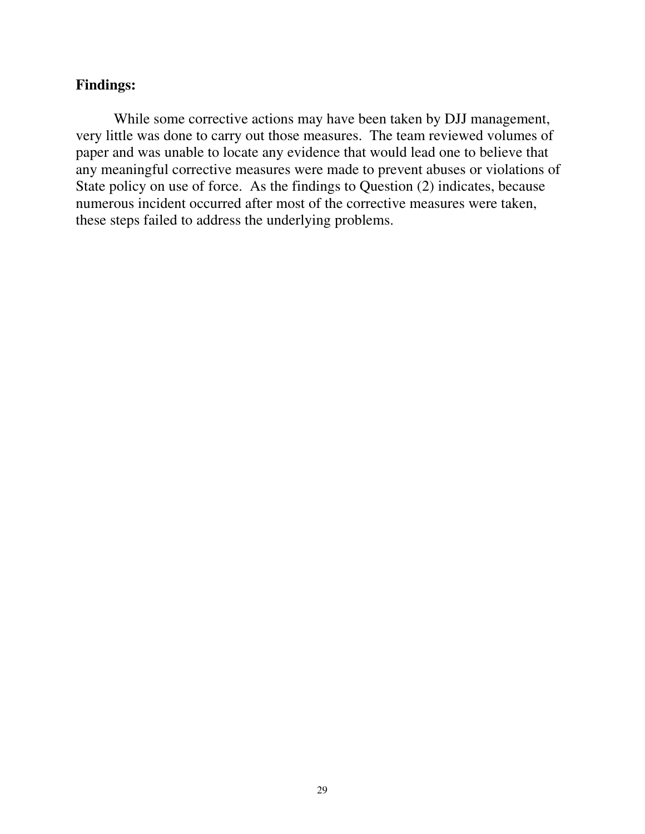### **Findings:**

While some corrective actions may have been taken by DJJ management, very little was done to carry out those measures. The team reviewed volumes of paper and was unable to locate any evidence that would lead one to believe that any meaningful corrective measures were made to prevent abuses or violations of State policy on use of force. As the findings to Question (2) indicates, because numerous incident occurred after most of the corrective measures were taken, these steps failed to address the underlying problems.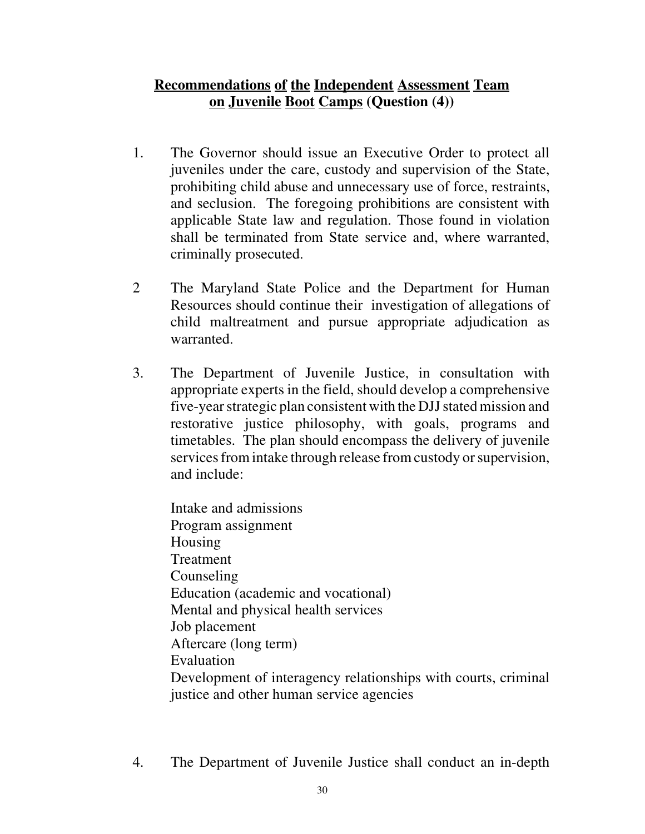# **Recommendations of the Independent Assessment Team on Juvenile Boot Camps (Question (4))**

- 1. The Governor should issue an Executive Order to protect all juveniles under the care, custody and supervision of the State, prohibiting child abuse and unnecessary use of force, restraints, and seclusion. The foregoing prohibitions are consistent with applicable State law and regulation. Those found in violation shall be terminated from State service and, where warranted, criminally prosecuted.
- 2 The Maryland State Police and the Department for Human Resources should continue their investigation of allegations of child maltreatment and pursue appropriate adjudication as warranted.
- 3. The Department of Juvenile Justice, in consultation with appropriate experts in the field, should develop a comprehensive five-year strategic plan consistent with the DJJ stated mission and restorative justice philosophy, with goals, programs and timetables. The plan should encompass the delivery of juvenile services from intake through release from custody or supervision, and include:

Intake and admissions Program assignment Housing Treatment Counseling Education (academic and vocational) Mental and physical health services Job placement Aftercare (long term) Evaluation Development of interagency relationships with courts, criminal justice and other human service agencies

4. The Department of Juvenile Justice shall conduct an in-depth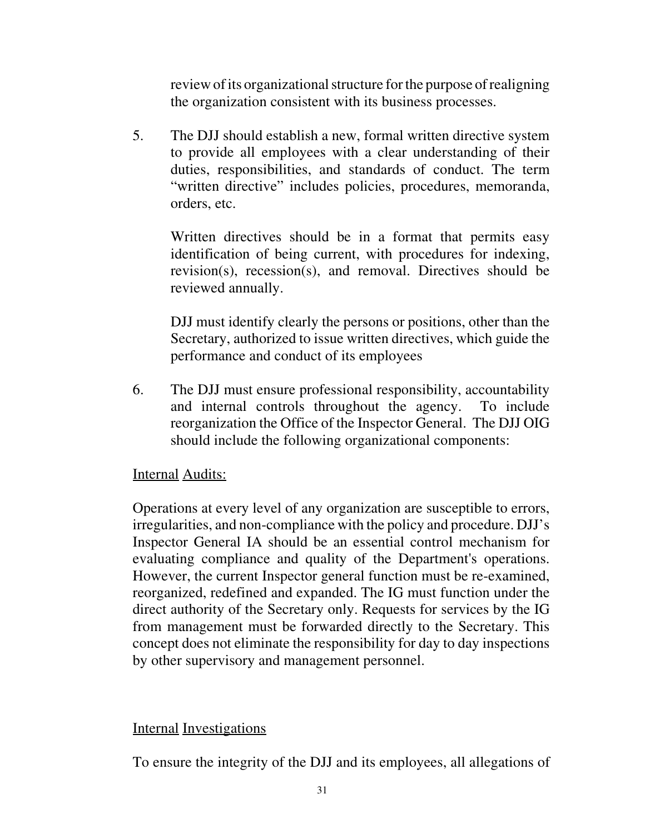review of its organizational structure for the purpose of realigning the organization consistent with its business processes.

5. The DJJ should establish a new, formal written directive system to provide all employees with a clear understanding of their duties, responsibilities, and standards of conduct. The term "written directive" includes policies, procedures, memoranda, orders, etc.

Written directives should be in a format that permits easy identification of being current, with procedures for indexing, revision(s), recession(s), and removal. Directives should be reviewed annually.

DJJ must identify clearly the persons or positions, other than the Secretary, authorized to issue written directives, which guide the performance and conduct of its employees

6. The DJJ must ensure professional responsibility, accountability and internal controls throughout the agency. To include reorganization the Office of the Inspector General. The DJJ OIG should include the following organizational components:

## Internal Audits:

Operations at every level of any organization are susceptible to errors, irregularities, and non-compliance with the policy and procedure. DJJ's Inspector General IA should be an essential control mechanism for evaluating compliance and quality of the Department's operations. However, the current Inspector general function must be re-examined, reorganized, redefined and expanded. The IG must function under the direct authority of the Secretary only. Requests for services by the IG from management must be forwarded directly to the Secretary. This concept does not eliminate the responsibility for day to day inspections by other supervisory and management personnel.

#### Internal Investigations

To ensure the integrity of the DJJ and its employees, all allegations of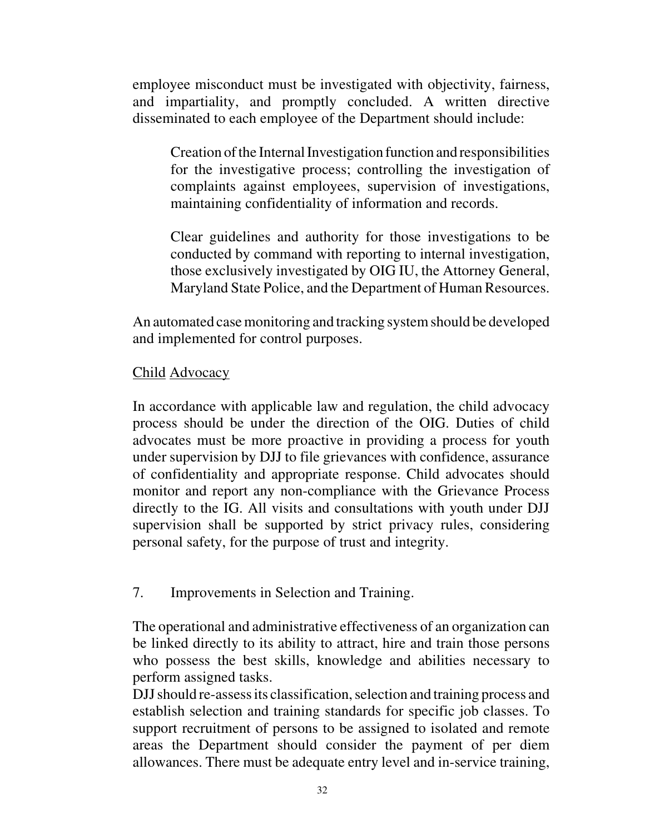employee misconduct must be investigated with objectivity, fairness, and impartiality, and promptly concluded. A written directive disseminated to each employee of the Department should include:

Creation of the Internal Investigation function and responsibilities for the investigative process; controlling the investigation of complaints against employees, supervision of investigations, maintaining confidentiality of information and records.

Clear guidelines and authority for those investigations to be conducted by command with reporting to internal investigation, those exclusively investigated by OIG IU, the Attorney General, Maryland State Police, and the Department of Human Resources.

An automated case monitoring and tracking system should be developed and implemented for control purposes.

## Child Advocacy

In accordance with applicable law and regulation, the child advocacy process should be under the direction of the OIG. Duties of child advocates must be more proactive in providing a process for youth under supervision by DJJ to file grievances with confidence, assurance of confidentiality and appropriate response. Child advocates should monitor and report any non-compliance with the Grievance Process directly to the IG. All visits and consultations with youth under DJJ supervision shall be supported by strict privacy rules, considering personal safety, for the purpose of trust and integrity.

## 7. Improvements in Selection and Training.

The operational and administrative effectiveness of an organization can be linked directly to its ability to attract, hire and train those persons who possess the best skills, knowledge and abilities necessary to perform assigned tasks.

DJJ should re-assess its classification, selection and training process and establish selection and training standards for specific job classes. To support recruitment of persons to be assigned to isolated and remote areas the Department should consider the payment of per diem allowances. There must be adequate entry level and in-service training,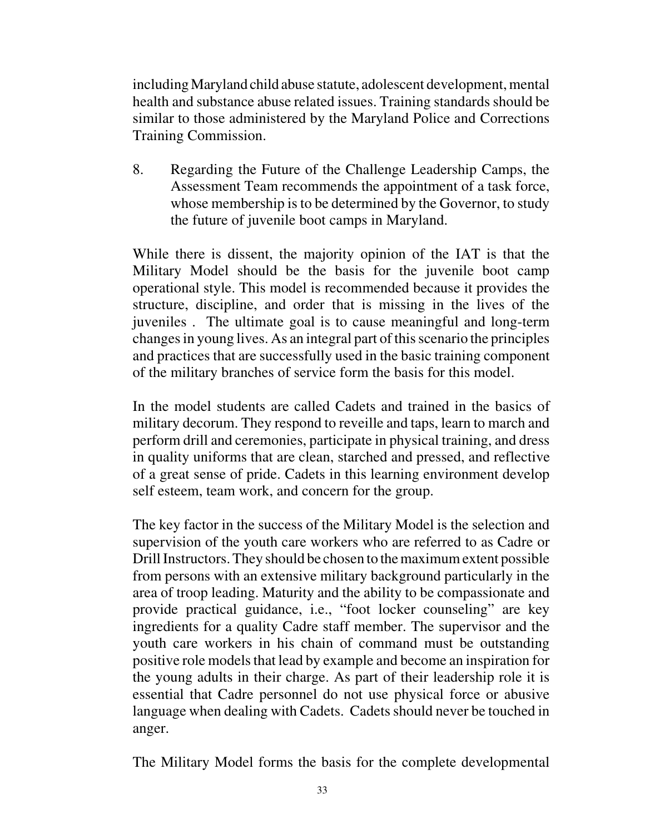including Maryland child abuse statute, adolescent development, mental health and substance abuse related issues. Training standards should be similar to those administered by the Maryland Police and Corrections Training Commission.

8. Regarding the Future of the Challenge Leadership Camps, the Assessment Team recommends the appointment of a task force, whose membership is to be determined by the Governor, to study the future of juvenile boot camps in Maryland.

While there is dissent, the majority opinion of the IAT is that the Military Model should be the basis for the juvenile boot camp operational style. This model is recommended because it provides the structure, discipline, and order that is missing in the lives of the juveniles . The ultimate goal is to cause meaningful and long-term changes in young lives. As an integral part of this scenario the principles and practices that are successfully used in the basic training component of the military branches of service form the basis for this model.

In the model students are called Cadets and trained in the basics of military decorum. They respond to reveille and taps, learn to march and perform drill and ceremonies, participate in physical training, and dress in quality uniforms that are clean, starched and pressed, and reflective of a great sense of pride. Cadets in this learning environment develop self esteem, team work, and concern for the group.

The key factor in the success of the Military Model is the selection and supervision of the youth care workers who are referred to as Cadre or Drill Instructors. They should be chosen to the maximum extent possible from persons with an extensive military background particularly in the area of troop leading. Maturity and the ability to be compassionate and provide practical guidance, i.e., "foot locker counseling" are key ingredients for a quality Cadre staff member. The supervisor and the youth care workers in his chain of command must be outstanding positive role models that lead by example and become an inspiration for the young adults in their charge. As part of their leadership role it is essential that Cadre personnel do not use physical force or abusive language when dealing with Cadets. Cadets should never be touched in anger.

The Military Model forms the basis for the complete developmental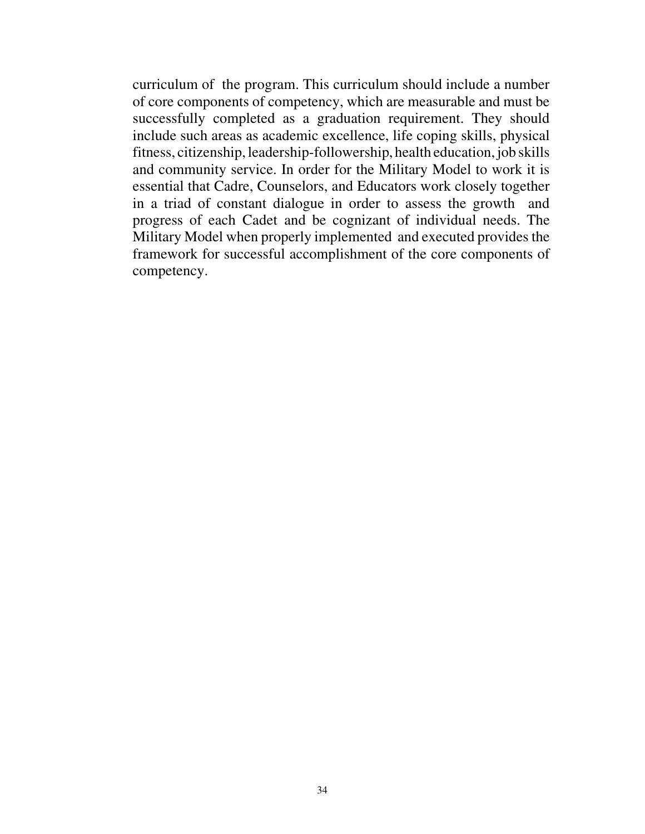curriculum of the program. This curriculum should include a number of core components of competency, which are measurable and must be successfully completed as a graduation requirement. They should include such areas as academic excellence, life coping skills, physical fitness, citizenship, leadership-followership, health education, job skills and community service. In order for the Military Model to work it is essential that Cadre, Counselors, and Educators work closely together in a triad of constant dialogue in order to assess the growth and progress of each Cadet and be cognizant of individual needs. The Military Model when properly implemented and executed provides the framework for successful accomplishment of the core components of competency.